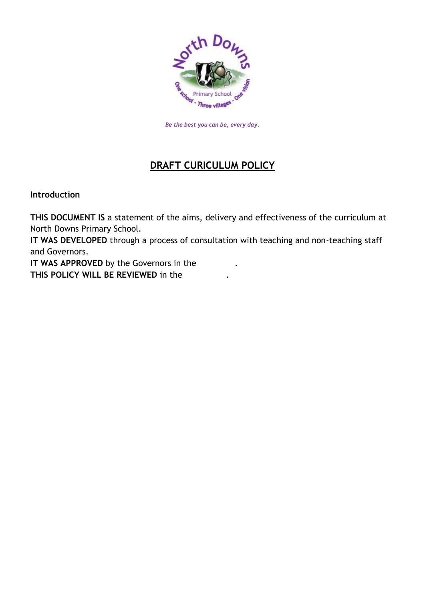

*Be the best you can be, every day.*

### **DRAFT CURICULUM POLICY**

**Introduction**

**THIS DOCUMENT IS** a statement of the aims, delivery and effectiveness of the curriculum at North Downs Primary School.

**IT WAS DEVELOPED** through a process of consultation with teaching and non-teaching staff and Governors.

**IT WAS APPROVED** by the Governors in the **THIS POLICY WILL BE REVIEWED** in the .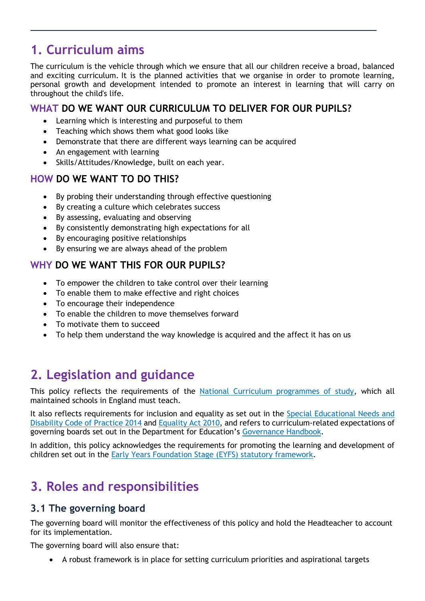# **1. Curriculum aims**

The curriculum is the vehicle through which we ensure that all our children receive a broad, balanced and exciting curriculum. It is the planned activities that we organise in order to promote learning, personal growth and development intended to promote an interest in learning that will carry on throughout the child's life.

#### **WHAT DO WE WANT OUR CURRICULUM TO DELIVER FOR OUR PUPILS?**

- Learning which is interesting and purposeful to them
- Teaching which shows them what good looks like
- Demonstrate that there are different ways learning can be acquired
- An engagement with learning
- Skills/Attitudes/Knowledge, built on each year.

#### **HOW DO WE WANT TO DO THIS?**

- By probing their understanding through effective questioning
- By creating a culture which celebrates success
- By assessing, evaluating and observing
- By consistently demonstrating high expectations for all
- By encouraging positive relationships
- By ensuring we are always ahead of the problem

#### **WHY DO WE WANT THIS FOR OUR PUPILS?**

- To empower the children to take control over their learning
- To enable them to make effective and right choices
- To encourage their independence
- To enable the children to move themselves forward
- To motivate them to succeed
- To help them understand the way knowledge is acquired and the affect it has on us

# **2. Legislation and guidance**

This policy reflects the requirements of the [National Curriculum programmes of study,](https://www.gov.uk/government/collections/national-curriculum) which all maintained schools in England must teach.

It also reflects requirements for inclusion and equality as set out in the [Special Educational Needs and](https://www.gov.uk/government/publications/send-code-of-practice-0-to-25)  [Disability Code of Practice 2014](https://www.gov.uk/government/publications/send-code-of-practice-0-to-25) and [Equality Act 2010,](http://www.legislation.gov.uk/ukpga/2010/15/part/6/chapter/1) and refers to curriculum-related expectations of governing boards set out in the Department for Education's [Governance Handbook.](https://www.gov.uk/government/publications/governance-handbook)

In addition, this policy acknowledges the requirements for promoting the learning and development of children set out in the [Early Years Foundation Stage \(EYFS\) statutory framework.](https://www.gov.uk/government/publications/early-years-foundation-stage-framework--2)

# **3. Roles and responsibilities**

#### **3.1 The governing board**

The governing board will monitor the effectiveness of this policy and hold the Headteacher to account for its implementation.

The governing board will also ensure that:

A robust framework is in place for setting curriculum priorities and aspirational targets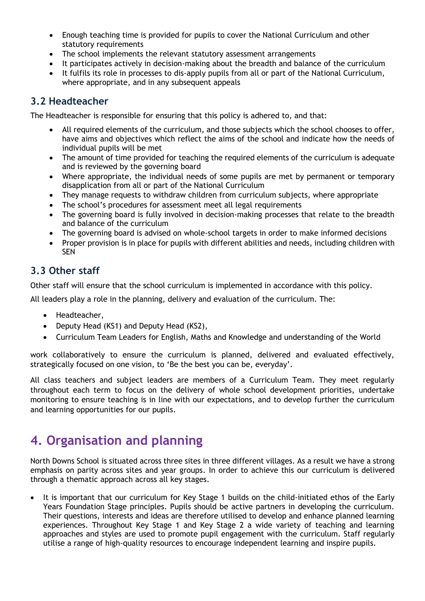- Enough teaching time is provided for pupils to cover the National Curriculum and other statutory requirements
- The school implements the relevant statutory assessment arrangements
- It participates actively in decision-making about the breadth and balance of the curriculum
- It fulfils its role in processes to dis-apply pupils from all or part of the National Curriculum, where appropriate, and in any subsequent appeals

#### **3.2 Headteacher**

The Headteacher is responsible for ensuring that this policy is adhered to, and that:

- All required elements of the curriculum, and those subjects which the school chooses to offer, have aims and objectives which reflect the aims of the school and indicate how the needs of individual pupils will be met
- The amount of time provided for teaching the required elements of the curriculum is adequate and is reviewed by the governing board
- Where appropriate, the individual needs of some pupils are met by permanent or temporary disapplication from all or part of the National Curriculum
- They manage requests to withdraw children from curriculum subjects, where appropriate
- The school's procedures for assessment meet all legal requirements
- The governing board is fully involved in decision-making processes that relate to the breadth and balance of the curriculum
- The governing board is advised on whole-school targets in order to make informed decisions
- Proper provision is in place for pupils with different abilities and needs, including children with SEN

#### **3.3 Other staff**

Other staff will ensure that the school curriculum is implemented in accordance with this policy.

All leaders play a role in the planning, delivery and evaluation of the curriculum. The:

- Headteacher,
- Deputy Head (KS1) and Deputy Head (KS2),
- Curriculum Team Leaders for English, Maths and Knowledge and understanding of the World

work collaboratively to ensure the curriculum is planned, delivered and evaluated effectively, strategically focused on one vision, to 'Be the best you can be, everyday'.

All class teachers and subject leaders are members of a Curriculum Team. They meet regularly throughout each term to focus on the delivery of whole school development priorities, undertake monitoring to ensure teaching is in line with our expectations, and to develop further the curriculum and learning opportunities for our pupils.

## **4. Organisation and planning**

North Downs School is situated across three sites in three different villages. As a result we have a strong emphasis on parity across sites and year groups. In order to achieve this our curriculum is delivered through a thematic approach across all key stages.

• It is important that our curriculum for Key Stage 1 builds on the child-initiated ethos of the Early Years Foundation Stage principles. Pupils should be active partners in developing the curriculum. Their questions, interests and ideas are therefore utilised to develop and enhance planned learning experiences. Throughout Key Stage 1 and Key Stage 2 a wide variety of teaching and learning approaches and styles are used to promote pupil engagement with the curriculum. Staff regularly utilise a range of high-quality resources to encourage independent learning and inspire pupils.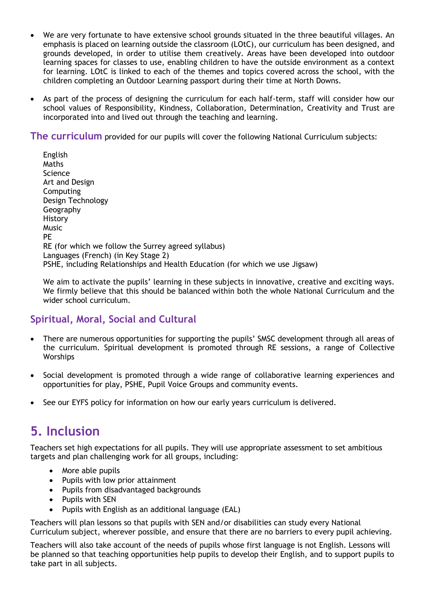- We are very fortunate to have extensive school grounds situated in the three beautiful villages. An emphasis is placed on learning outside the classroom (LOtC), our curriculum has been designed, and grounds developed, in order to utilise them creatively. Areas have been developed into outdoor learning spaces for classes to use, enabling children to have the outside environment as a context for learning. LOtC is linked to each of the themes and topics covered across the school, with the children completing an Outdoor Learning passport during their time at North Downs.
- As part of the process of designing the curriculum for each half-term, staff will consider how our school values of Responsibility, Kindness, Collaboration, Determination, Creativity and Trust are incorporated into and lived out through the teaching and learning.

**The curriculum** provided for our pupils will cover the following National Curriculum subjects:

English Maths Science Art and Design Computing Design Technology Geography History Music PE RE (for which we follow the Surrey agreed syllabus) Languages (French) (in Key Stage 2) PSHE, including Relationships and Health Education (for which we use Jigsaw)

We aim to activate the pupils' learning in these subjects in innovative, creative and exciting ways. We firmly believe that this should be balanced within both the whole National Curriculum and the wider school curriculum.

#### **Spiritual, Moral, Social and Cultural**

- There are numerous opportunities for supporting the pupils' SMSC development through all areas of the curriculum. Spiritual development is promoted through RE sessions, a range of Collective **Worships**
- Social development is promoted through a wide range of collaborative learning experiences and opportunities for play, PSHE, Pupil Voice Groups and community events.
- See our EYFS policy for information on how our early years curriculum is delivered.

### **5. Inclusion**

Teachers set high expectations for all pupils. They will use appropriate assessment to set ambitious targets and plan challenging work for all groups, including:

- More able pupils
- Pupils with low prior attainment
- Pupils from disadvantaged backgrounds
- Pupils with SEN
- Pupils with English as an additional language (EAL)

Teachers will plan lessons so that pupils with SEN and/or disabilities can study every National Curriculum subject, wherever possible, and ensure that there are no barriers to every pupil achieving.

Teachers will also take account of the needs of pupils whose first language is not English. Lessons will be planned so that teaching opportunities help pupils to develop their English, and to support pupils to take part in all subjects.